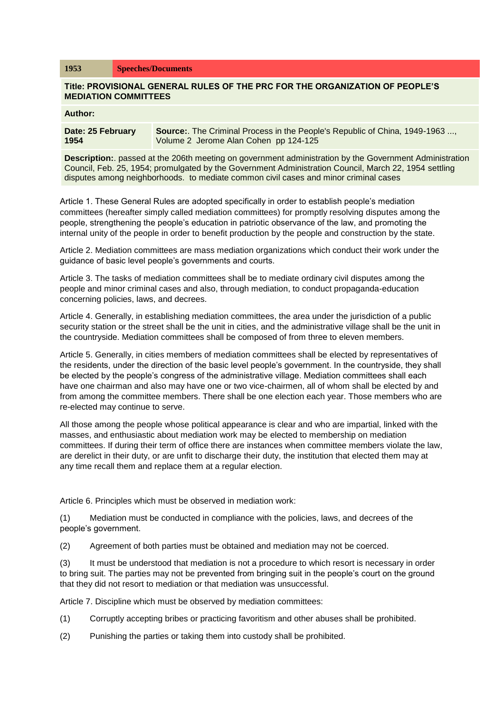| 1953                                                                                                                                                                                                                   | <b>Speeches/Documents</b> |                                                                                                                              |
|------------------------------------------------------------------------------------------------------------------------------------------------------------------------------------------------------------------------|---------------------------|------------------------------------------------------------------------------------------------------------------------------|
| Title: PROVISIONAL GENERAL RULES OF THE PRC FOR THE ORGANIZATION OF PEOPLE'S<br><b>MEDIATION COMMITTEES</b>                                                                                                            |                           |                                                                                                                              |
| Author:                                                                                                                                                                                                                |                           |                                                                                                                              |
| Date: 25 February<br>1954                                                                                                                                                                                              |                           | <b>Source:.</b> The Criminal Process in the People's Republic of China, 1949-1963 ,<br>Volume 2 Jerome Alan Cohen pp 124-125 |
| <b>Description:</b> passed at the 206th meeting on government administration by the Government Administration<br>Council, Feb. 25, 1954; promulgated by the Government Administration Council, March 22, 1954 settling |                           |                                                                                                                              |

Article 1. These General Rules are adopted specifically in order to establish people's mediation committees (hereafter simply called mediation committees) for promptly resolving disputes among the people, strengthening the people's education in patriotic observance of the law, and promoting the internal unity of the people in order to benefit production by the people and construction by the state.

disputes among neighborhoods. to mediate common civil cases and minor criminal cases

Article 2. Mediation committees are mass mediation organizations which conduct their work under the guidance of basic level people's governments and courts.

Article 3. The tasks of mediation committees shall be to mediate ordinary civil disputes among the people and minor criminal cases and also, through mediation, to conduct propaganda-education concerning policies, laws, and decrees.

Article 4. Generally, in establishing mediation committees, the area under the jurisdiction of a public security station or the street shall be the unit in cities, and the administrative village shall be the unit in the countryside. Mediation committees shall be composed of from three to eleven members.

Article 5. Generally, in cities members of mediation committees shall be elected by representatives of the residents, under the direction of the basic level people's government. In the countryside, they shall be elected by the people's congress of the administrative village. Mediation committees shall each have one chairman and also may have one or two vice-chairmen, all of whom shall be elected by and from among the committee members. There shall be one election each year. Those members who are re-elected may continue to serve.

All those among the people whose political appearance is clear and who are impartial, linked with the masses, and enthusiastic about mediation work may be elected to membership on mediation committees. If during their term of office there are instances when committee members violate the law, are derelict in their duty, or are unfit to discharge their duty, the institution that elected them may at any time recall them and replace them at a regular election.

Article 6. Principles which must be observed in mediation work:

(1) Mediation must be conducted in compliance with the policies, laws, and decrees of the people's government.

(2) Agreement of both parties must be obtained and mediation may not be coerced.

(3) It must be understood that mediation is not a procedure to which resort is necessary in order to bring suit. The parties may not be prevented from bringing suit in the people's court on the ground that they did not resort to mediation or that mediation was unsuccessful.

Article 7. Discipline which must be observed by mediation committees:

- (1) Corruptly accepting bribes or practicing favoritism and other abuses shall be prohibited.
- (2) Punishing the parties or taking them into custody shall be prohibited.